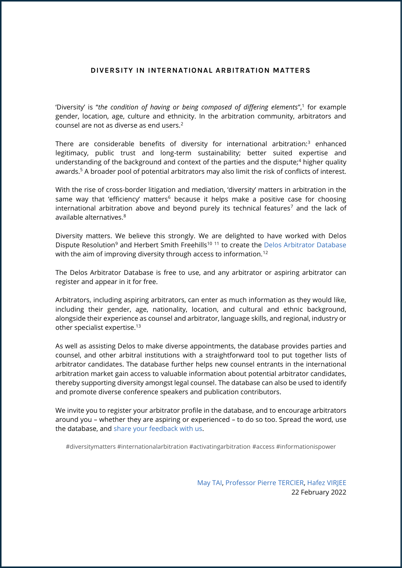## **DIVERSITY IN INTERNATIONAL ARBITRATION MATTERS**

'Diversity' is "the condition of having or being composed of differing elements",<sup>1</sup> for example gender, location, age, culture and ethnicity. In the arbitration community, arbitrators and counsel are not as diverse as end users.<sup>2</sup>

There are considerable benefits of diversity for international arbitration:<sup>3</sup> enhanced legitimacy, public trust and long-term sustainability; better suited expertise and understanding of the background and context of the parties and the dispute;<sup>4</sup> higher quality awards.<sup>5</sup> A broader pool of potential arbitrators may also limit the risk of conflicts of interest.

With the rise of cross-border litigation and mediation, 'diversity' matters in arbitration in the same way that 'efficiency' matters<sup>6</sup> because it helps make a positive case for choosing international arbitration above and beyond purely its technical features<sup>7</sup> and the lack of available alternatives.<sup>8</sup>

Diversity matters. We believe this strongly. We are delighted to have worked with Delos Dispute Resolution<sup>9</sup> and Herbert Smith Freehills<sup>10 11</sup> to create the [Delos Arbitrator Database](https://member-delosdr.org/delos-arbitrator-database/) with the aim of improving diversity through access to information.<sup>12</sup>

The Delos Arbitrator Database is free to use, and any arbitrator or aspiring arbitrator can register and appear in it for free.

Arbitrators, including aspiring arbitrators, can enter as much information as they would like, including their gender, age, nationality, location, and cultural and ethnic background, alongside their experience as counsel and arbitrator, language skills, and regional, industry or other specialist expertise.<sup>13</sup>

As well as assisting Delos to make diverse appointments, the database provides parties and counsel, and other arbitral institutions with a straightforward tool to put together lists of arbitrator candidates. The database further helps new counsel entrants in the international arbitration market gain access to valuable information about potential arbitrator candidates, thereby supporting diversity amongst legal counsel. The database can also be used to identify and promote diverse conference speakers and publication contributors.

We invite you to register your arbitrator profile in the database, and to encourage arbitrators around you – whether they are aspiring or experienced – to do so too. Spread the word, use the database, and [share your feedback](mailto:diversity@delosdr.org) with us.

#diversitymatters #internationalarbitration #activatingarbitration #access #informationispower

[May TAI,](https://www.herbertsmithfreehills.com/our-people/may-tai) [Professor Pierre TERCIER,](https://www.tercier.net/copie-de-accueil) [Hafez VIRJEE](https://virjee-arbitration.com/) 22 February 2022